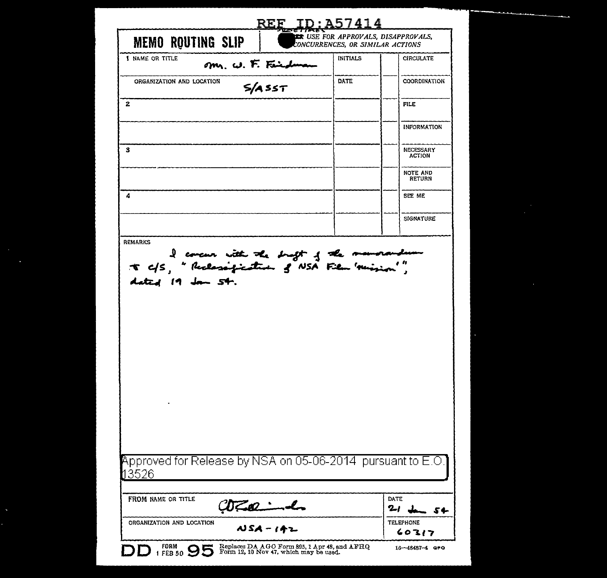| <b>MEMO ROUTING SLIP</b>                                                                                                              |                   | <b>THE USE FOR APPROVALS, DISAPPROVALS,</b><br>CONCURRENCES, OR SIMILAR ACTIONS |                            |
|---------------------------------------------------------------------------------------------------------------------------------------|-------------------|---------------------------------------------------------------------------------|----------------------------|
| <b>1 NAME OR TITLE</b>                                                                                                                | Mr. W. F. Findman | <b>INITIALS</b>                                                                 | <b>CIRCULATE</b>           |
| ORGANIZATION AND LOCATION                                                                                                             | $S/A$ SST         | <b>DATE</b>                                                                     | COORDINATION               |
| 2                                                                                                                                     |                   |                                                                                 | FILE                       |
|                                                                                                                                       |                   |                                                                                 | <b>INFORMATION</b>         |
| з                                                                                                                                     |                   |                                                                                 | NECESSARY<br><b>ACTION</b> |
|                                                                                                                                       |                   |                                                                                 | NOTE AND<br><b>RETURN</b>  |
| 4                                                                                                                                     |                   |                                                                                 | SEE ME                     |
|                                                                                                                                       |                   |                                                                                 | SIGNATURE                  |
| <b>REMARKS</b><br>I concur with the drugt of the manorandum<br>it cfs, " Reclassification of NSA Film 'mission'",<br>dated 19 Jan 54. |                   |                                                                                 |                            |
|                                                                                                                                       |                   |                                                                                 |                            |
| Approved for Release by NSA on 05-06-2014  pursuant to E.O.1<br>13526                                                                 |                   |                                                                                 |                            |
| FROM NAME OR TITLE                                                                                                                    | Whamd             |                                                                                 | DATE<br>21<br>54           |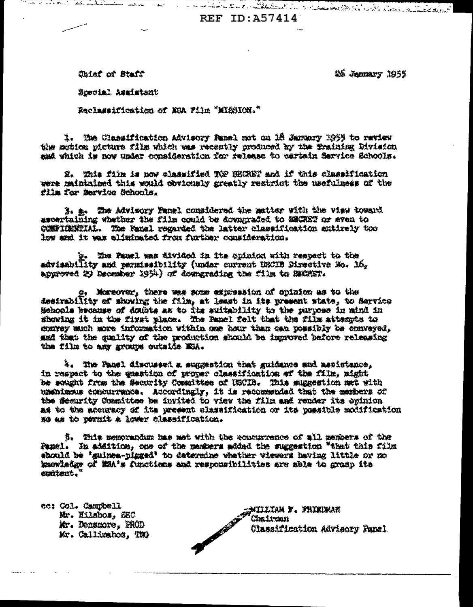Motor Park of the construction of the States of the States REF ID: A57414

Chief of Staff

26 January 1955

Special Assistant

Reclassification of MEA Film "MISSION."

1. The Classification Advisory Fansl mst on 16 January 1955 to review the motion picture film which was recently produced by the fraining Division and which is now under consideration for release to certain Service Schools.

2. Yhis film is now classified TOP BECRET and if this classification were maintalned this would obviously greatly restrict the usefulness of the film for Service Schools.

3. a. The Advisory Fanel considered the matter with the view toward ascertaining whether the film could be downgraded to ESCRET or even to CONFIDENTIAL. The Fanel regarded the latter classification antirely too low and it was eliminated from further consideration.

b. The Panel was divided in its spinion with respect to the advisability and permissibility (under current USCIB Directive Mo. 16, approved 29 December 1954) of downgrading the film to SMORET.

g. Moreover, there was some expression of opinion as to the destrability of showing the film, at least in its present state, to Service Schools because of doubts as to its suitability to the purpose in mind in showing it in the first place. The Panel felt that the film attempts to enuroy much more information within one hour than can possibly be conveyed, and that the quality of the production should be improved before releasing the film to any groups outside ESA.

%. The Panel discussed a suggestion that guidance and assistance. in respect to the question of proper classification of the film, might be sought from the Security Committee of USCIB. This suggestion met with unanizous exacurrence. Accordingly, it is recommended that the members of the Security Committee be invited to view the film and render its opinion as to the accuracy of its present classification or its possible molification so as to permit a lower classification.

3. This memorandum has met with the concurrence of all members of the Panel. In addition, one of the members added the suggestion "that this film should be 'guinea-pigged' to determine whether viewers having little or no kaowladke of WAA's functions and responsibilities are able to grasp its content.

ec: Col. Campbell Mr. Hilsbos, SEC Mr. Densmore. PROD Mr. Callinahos, TWA NITLIAM F. FRIEDMAN Chairman Classification Advisory Panel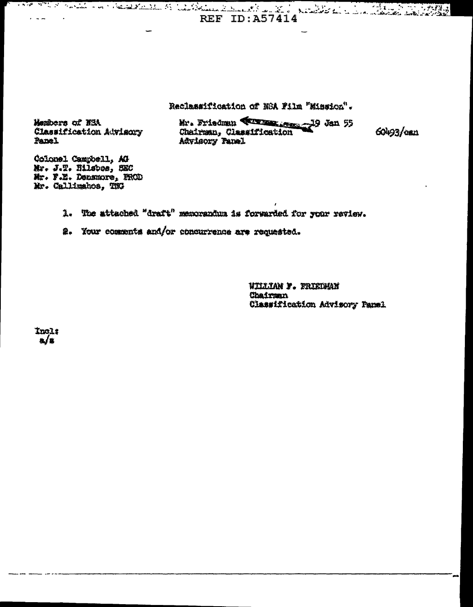Reclassification of NSA Film "Mission".

**REF ID: A57414** 

Members of NSA Classification Advisory Panel

Mr. Friedman **(Times 19 Jan 55)**<br>Chairman, Classification Advisory Panel

60493/can

Colonel Campbell, AG Mr. J.T. Nilsbee, SEC Mr. F.E. Densmore, PROD Mr. Callimahos, TNG

1. The attached "draft" memorandum is forwarded for your review.

2. Your comments and/or concurrence are requested.

WILLIAN F. FRIEDWAN Chairman Classification Advisory Panel

Incl:  $\mathbf{a}/\mathbf{x}$ 

 $\sim$   $\sim$   $\sim$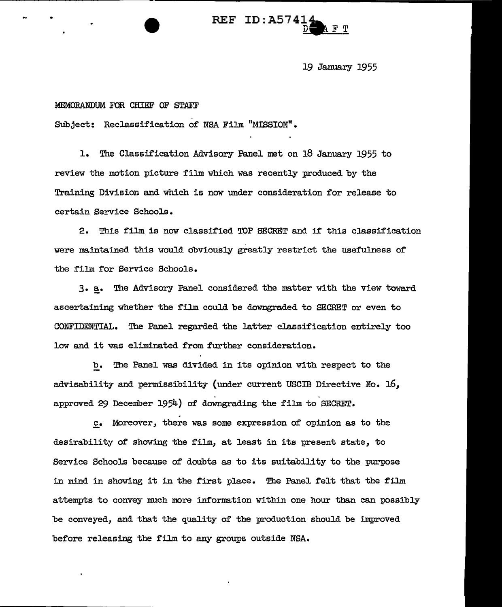# $REF$  ID: $A574$

19 January 1955

#### MEMORANDUM FOR CHIEF OF STAFF

Subject: Reclassification of NSA Film "MISSION".

1. The Classification Advisory Panel met on 18 January 1955 to review the motion picture film which was recently produced by the Training Division and which is now under consideration for release to certain Service Schools.

2. This film is *now* classified TOP SECRET and if this classification were maintained this would obviously greatly restrict the usefulness of the film for Service Schools.

3. a. The Advisory Panel considered the matter with the view toward ascertaining whether the film could be downgraded to SECRET or even to CONFIDENTIAL. The Panel regarded the latter classification entirely too low and it was eliminated from further consideration.

b. The Panel was divided in its opinion with respect to the advisability and permissibility (under current USCIB Directive No.  $16$ , approved 29 December 1954) of downgrading the film to SECRET.

. c. Moreover, there was some expression of opinion as to the desirability of showing the film, at least in its present state, to Service Schools because of doubts as to its suitability to the purpose in mind in showing it in the first place. The Panel felt that the film attempts to convey much more information within one hour than can possibly be conveyed, and that the quality of the production should be improved before releasing the film to any groups outside NSA.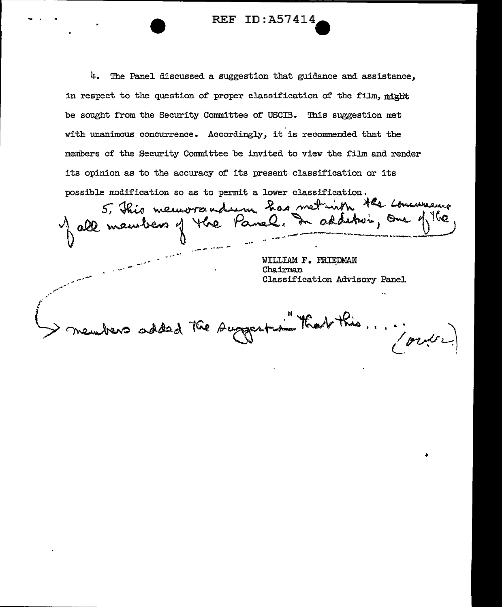4. The Panel discussed a suggestion that guidance and assistance, in respect to the question of proper classification of the film,  $m$ ight be sought from the Security Committee of USCIB. This suggestion met with unanimous concurrence. Accordingly, it is recommended that the members of the Security Committee be invited to view the film and render its opinion as to the accuracy of its present classification or its

REF ID:A57414-

possible modification so as to permit a lower classification.<br>5, This memorrously has met with the commence all manulers of the Panel. In addition, one of the  $\frac{1}{2}$ 

WILLIAM F. FRIEDMAN Chairman Classification Advisory Panel

members added the suggestion that this ... / order

... ... \_.,... ...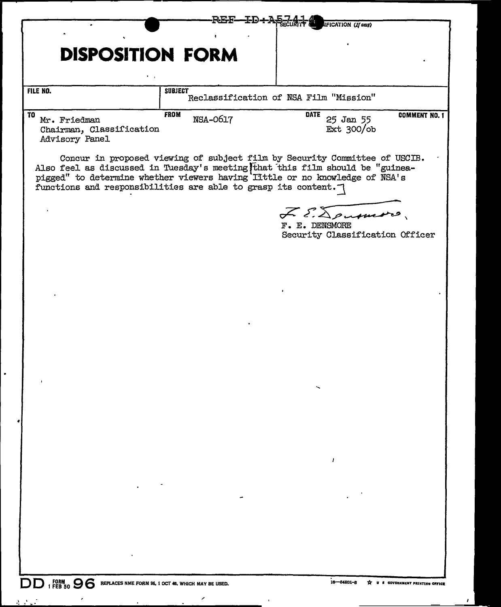| }F—ID+A<br><b>IFICATION</b> (If any)                             |                         |                                                                                                                                                                                                                                            |                      |
|------------------------------------------------------------------|-------------------------|--------------------------------------------------------------------------------------------------------------------------------------------------------------------------------------------------------------------------------------------|----------------------|
|                                                                  |                         |                                                                                                                                                                                                                                            |                      |
| <b>DISPOSITION FORM</b>                                          |                         |                                                                                                                                                                                                                                            |                      |
|                                                                  |                         |                                                                                                                                                                                                                                            |                      |
| FILE NO.                                                         | <b>SUBJECT</b>          | Reclassification of NSA Film "Mission"                                                                                                                                                                                                     |                      |
| TO<br>Mr. Friedman<br>Chairman, Classification<br>Advisory Panel | <b>FROM</b><br>NSA-0617 | <b>DATE</b><br>25 Jan 55<br>Ext $300$ /ob                                                                                                                                                                                                  | <b>COMMENT NO. 1</b> |
| functions and responsibilities are able to grasp its content.    |                         | Concur in proposed viewing of subject film by Security Committee of USCIB.<br>Also feel as discussed in Tuesday's meeting that this film should be "guinea-<br>pigged" to determine whether viewers having Iittle or no knowledge of NSA's |                      |
|                                                                  |                         | F. E. Dourmons<br>F. E. DENSMORE<br>Security Classification Officer                                                                                                                                                                        |                      |
|                                                                  |                         |                                                                                                                                                                                                                                            |                      |
|                                                                  |                         |                                                                                                                                                                                                                                            |                      |
|                                                                  |                         |                                                                                                                                                                                                                                            |                      |
|                                                                  |                         |                                                                                                                                                                                                                                            |                      |
|                                                                  |                         |                                                                                                                                                                                                                                            |                      |
|                                                                  |                         |                                                                                                                                                                                                                                            |                      |
|                                                                  |                         |                                                                                                                                                                                                                                            |                      |
|                                                                  |                         |                                                                                                                                                                                                                                            |                      |
|                                                                  |                         |                                                                                                                                                                                                                                            |                      |
|                                                                  |                         | 1                                                                                                                                                                                                                                          |                      |
|                                                                  |                         |                                                                                                                                                                                                                                            |                      |
|                                                                  |                         |                                                                                                                                                                                                                                            |                      |
|                                                                  |                         |                                                                                                                                                                                                                                            |                      |
|                                                                  |                         |                                                                                                                                                                                                                                            |                      |
|                                                                  |                         |                                                                                                                                                                                                                                            |                      |

<u>and the second second</u>

**DD** 1 FEB<sup>N</sup>SO **96** REPLACES NME FORM 96, 1 OCT 46, WHICH MAY BE USED.

 $\overline{\phantom{a}}$ 

 $\lambda$  ,  $\lambda$  ,  $\lambda$ 

 $\bullet$ 

 $\sim$ 

 $\boldsymbol{r}$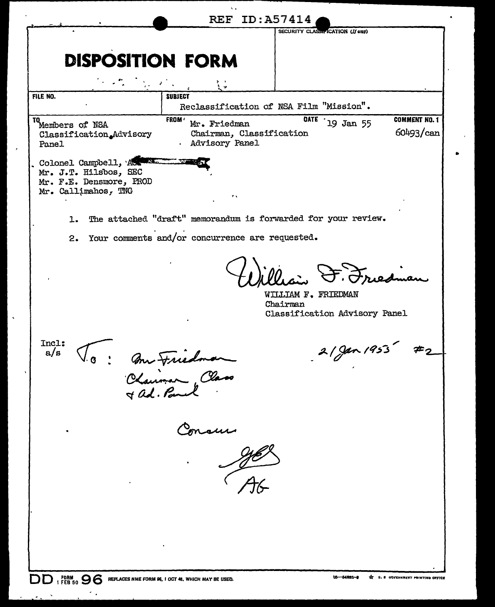|                                                                                                  |                                                                           | <b>REF ID: A57414</b>                                            |                                          |
|--------------------------------------------------------------------------------------------------|---------------------------------------------------------------------------|------------------------------------------------------------------|------------------------------------------|
|                                                                                                  |                                                                           | SECURITY CLASSIFICATION (If any)                                 |                                          |
|                                                                                                  |                                                                           |                                                                  |                                          |
| <b>DISPOSITION FORM</b>                                                                          |                                                                           |                                                                  |                                          |
|                                                                                                  |                                                                           |                                                                  |                                          |
| FILE NO.                                                                                         | <b>SUBJECT</b>                                                            |                                                                  |                                          |
|                                                                                                  |                                                                           | Reclassification of NSA Film "Mission".                          |                                          |
| TO<br>Members of NSA<br>Classification.Advisory<br>Panel                                         | <b>FROM</b><br>Mr. Friedman<br>Chairman, Classification<br>Advisory Panel | <b>OATE</b><br>19 Jan 55                                         | <b>COMMENT NO. 1</b><br>60493/can        |
| Colonel Campbell, Act<br>Mr. J.T. Hilsbos, SEC<br>Mr. F.E. Densmore, PROD<br>Mr. Callimahos, TNG | ٠.                                                                        |                                                                  |                                          |
|                                                                                                  |                                                                           | The attached "draft" memorandum is forwarded for your review.    |                                          |
| ı.                                                                                               |                                                                           |                                                                  |                                          |
| 2.                                                                                               | Your comments and/or concurrence are requested.                           |                                                                  |                                          |
|                                                                                                  |                                                                           | WILLIAM F. FRIEDMAN<br>Chairman<br>Classification Advisory Panel |                                          |
| Incl:<br>a/s                                                                                     | Chairman Class                                                            | $2/\gamma$ an 1953                                               |                                          |
| ٠                                                                                                |                                                                           |                                                                  |                                          |
|                                                                                                  | Concern<br>1968                                                           |                                                                  |                                          |
|                                                                                                  |                                                                           |                                                                  |                                          |
|                                                                                                  |                                                                           |                                                                  |                                          |
| $1$ FEB 50 $96$<br>DD                                                                            | REPLACES NME FORM 96, I OCT 48, WHICH MAY BE USED.                        | 16-54881-8                                                       | <b>T U. S GOVERNMENT PRINTING OFFICE</b> |

 $\bar{\boldsymbol{\theta}}$ 

┃、

 $\mathcal{F}_{\mathcal{F}}$ 

 $\ddot{\phantom{1}}$ 

 $\mathbf{v}$  $\ddot{\cdot}$ 

 $\epsilon$ 

 $\bullet$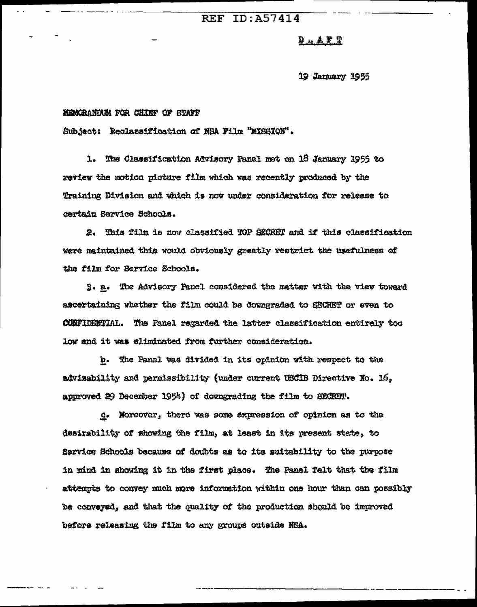# **REF ID: A57414**

# $2 X.A.A.$

19 January 1955

# MEMORANDUM FOR CHIEF OF STAFF

Subject: Reclassification of NSA Film "MISSION".

1. The Classification Advisory Panel met on 18 January 1955 to review the motion picture film which was recently produced by the Training Division and which is now under consideration for release to cartain Service Schools.

2. This film is now classified TOP SECRET and if this classification were maintained this would obviously greatly restrict the usefulness of the film for Service Schools.

3. a. The Advisory Panel considered the matter with the view toward ascertaining whether the film could be downgraded to SECRET or even to CONFIDENTIAL. The Panel regarded the latter classification entirely too low and it was eliminated from further consideration.

b. The Panel was divided in its opinion with respect to the adviaability and permissibility (under current USCIB Directive No. 16. approved 29 December 1954) of downgrading the film to SECRET.

g. Moreover, there was some expression of opinion as to the desirability of showing the film, at least in its present state, to Service Schools because of doubts as to its suitability to the purpose in mind in showing it in the first place. The Panel felt that the film attempts to convey much more information within one hour than can possibly be conveyed, and that the quality of the production should be improved before releasing the film to any groups outside NBA.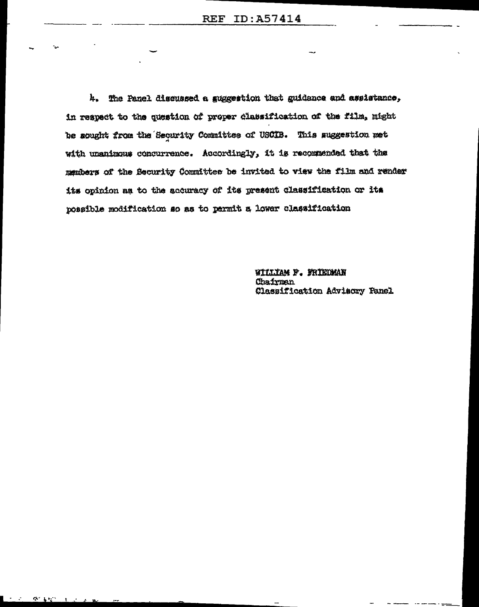4. The Panel discussed a guggestion that guidance and assistance, in respect to the question of proper classification of the film, might be sought from the Security Committee of USCIB. This suggestion met with unanimous concurrence. Accordingly, it is recommended that the members of the Security Committee be invited to view the film and render its opinion as to the accuracy of its present classification or its possible modification so as to permit a lower classification

> WILLIAM F. FRIEDMAN Chairman Classification Advisory Fanel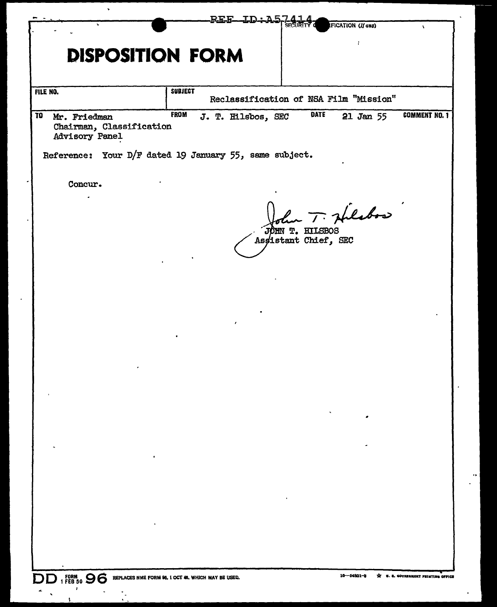|                                                                      | REE.                                                   | ID-A-                                   | <b>IFICATION (If any)</b> | $\lambda$                        |
|----------------------------------------------------------------------|--------------------------------------------------------|-----------------------------------------|---------------------------|----------------------------------|
|                                                                      | <b>DISPOSITION FORM</b>                                |                                         |                           |                                  |
| FILE NO.                                                             | <b>SUBJECT</b>                                         | Reclassification of NSA Film "Mission"  |                           |                                  |
| TO<br>Mr. Friedman<br>Chairman, Classification<br>Advisory Panel     | <b>FROM</b><br>J. T. Hilsbos, SEC                      | <b>DATE</b>                             | 21 Jan 55                 | <b>COMMENT NO. 1</b>             |
|                                                                      | Reference: Your D/F dated 19 January 55, same subject. |                                         |                           |                                  |
| Concur.                                                              |                                                        |                                         |                           |                                  |
|                                                                      |                                                        | JOHN T. HILSBOS<br>Assistant Chief, SEC | har T. Hilsbox            |                                  |
|                                                                      |                                                        |                                         |                           |                                  |
|                                                                      |                                                        |                                         |                           |                                  |
|                                                                      |                                                        |                                         |                           |                                  |
|                                                                      |                                                        |                                         |                           |                                  |
|                                                                      |                                                        |                                         |                           |                                  |
|                                                                      |                                                        |                                         |                           |                                  |
|                                                                      |                                                        |                                         |                           |                                  |
|                                                                      |                                                        |                                         |                           |                                  |
|                                                                      |                                                        |                                         |                           |                                  |
|                                                                      |                                                        |                                         |                           |                                  |
|                                                                      |                                                        |                                         |                           |                                  |
|                                                                      |                                                        |                                         |                           |                                  |
|                                                                      |                                                        |                                         |                           |                                  |
|                                                                      |                                                        |                                         |                           |                                  |
| DD 1 FORM 96 SO S REPLACES NME FORM 96, 1 OCT 48, WHICH MAY BE USED. |                                                        |                                         | 16-64801-8<br>÷           | U. S. GOVERNMENT PRINTING OFFICE |

 $\epsilon_{\rm{max}}$ 

 $\overline{\textbf{S}}$ 

÷.

 $\bullet$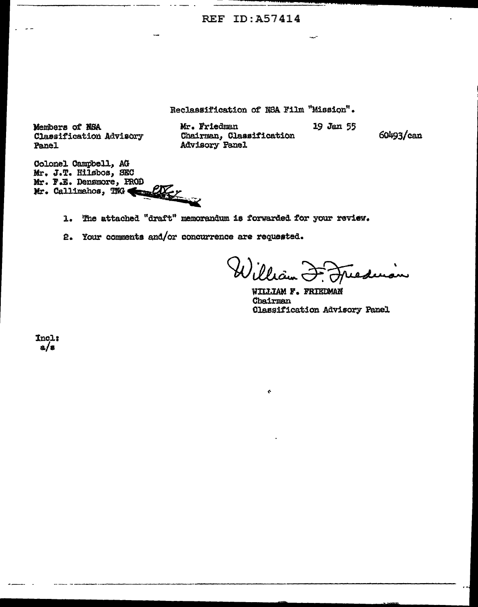**REF ID: A57414** 

Reclassification of NBA Film "Mission".

 $\mathbf{c}$ 

Members of NSA Classification Advisory Panel

Mr. Friedman Chairman, Classification Advisory Panel

19 Jan 55

60493/can

Colonel Campbell, AG Mr. J.T. Hilsbos, SEC Mr. F.E. Densmore, PROD in enforce Mr. Callimahos, TNG

> The attached "draft" memorandum is forwarded for your review.  $\mathbf{L}$

2. Your comments and/or concurrence are requested.

William reducon

WILLIAM F. FRIEDMAN Chairman **Classification Advisory Panel** 

Incl:  $a/s$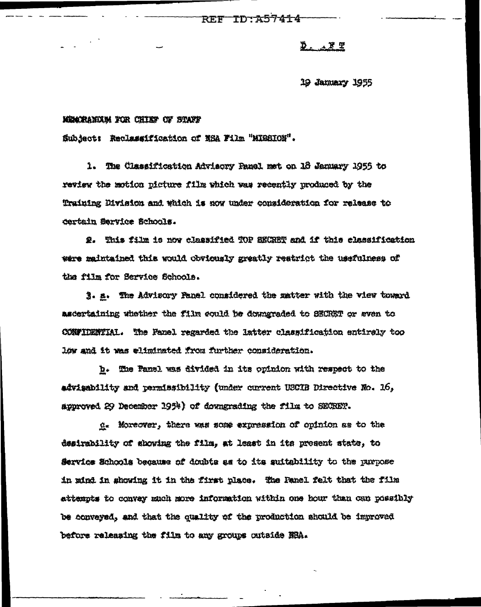TD: A57414 **REF** 

# $277$

19 January 1955

### MEMORANDUM FOR CHIEF OF STAFF

Subject: Reclassification of NSA Film "MISSION".

1. The Classification Advisory Panel met on 18 January 1956 to review the motion picture film which was recently produced by the Training Division and which is now under consideration for release to dertain Service Schools.

2. This film is now classified TOP SECRET and if this classification were maintained this would obviously greatly reatrict the usefulness of the film for Service Schools.

3. a. The Advisory Panel considered the matter with the view toward ascertaining whether the film could be downgraded to SECRET or even to CONFIDENTIAL. The Fanel regarded the latter classification entirely too low and it was eliminated from further consideration.

b. The Panel was divided in its opinion with respect to the advisability and permissibility (under current USCIB Directive No. 16, approved 29 December 1954) of downgrading the film to SECRET.

g. Moreover, there was some expression of opinion as to the desirability of showing the film, at least in its present state, to Service Schools because of doubts as to its suitability to the purpose in mind in showing it in the first place. The Panel felt that the film attempts to convey much more information within one hour than can possibly be conveyed, and that the quality of the production should be improved before releasing the film to any groups outside NSA.